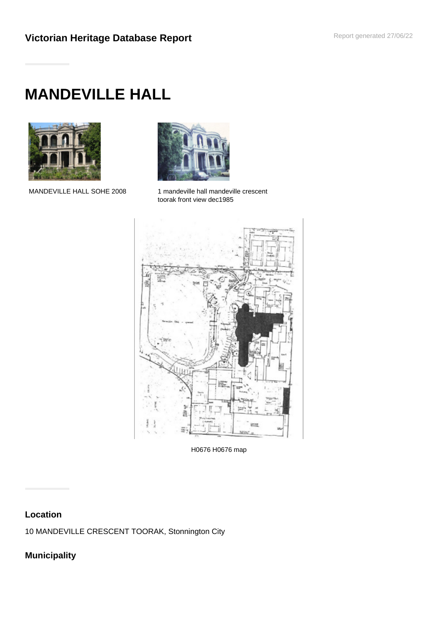# **MANDEVILLE HALL**





MANDEVILLE HALL SOHE 2008 1 mandeville hall mandeville crescent toorak front view dec1985



H0676 H0676 map

# **Location**

10 MANDEVILLE CRESCENT TOORAK, Stonnington City

# **Municipality**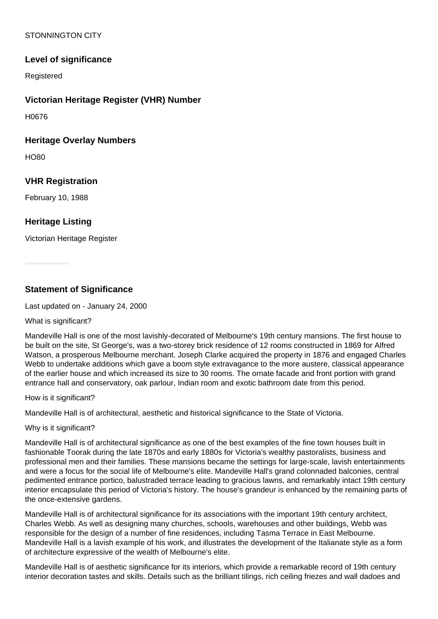# STONNINGTON CITY

# **Level of significance**

Registered

## **Victorian Heritage Register (VHR) Number**

H0676

#### **Heritage Overlay Numbers**

HO80

## **VHR Registration**

February 10, 1988

# **Heritage Listing**

Victorian Heritage Register

**Statement of Significance**

Last updated on - January 24, 2000

What is significant?

Mandeville Hall is one of the most lavishly-decorated of Melbourne's 19th century mansions. The first house to be built on the site, St George's, was a two-storey brick residence of 12 rooms constructed in 1869 for Alfred Watson, a prosperous Melbourne merchant. Joseph Clarke acquired the property in 1876 and engaged Charles Webb to undertake additions which gave a boom style extravagance to the more austere, classical appearance of the earlier house and which increased its size to 30 rooms. The ornate facade and front portion with grand entrance hall and conservatory, oak parlour, Indian room and exotic bathroom date from this period.

How is it significant?

Mandeville Hall is of architectural, aesthetic and historical significance to the State of Victoria.

Why is it significant?

Mandeville Hall is of architectural significance as one of the best examples of the fine town houses built in fashionable Toorak during the late 1870s and early 1880s for Victoria's wealthy pastoralists, business and professional men and their families. These mansions became the settings for large-scale, lavish entertainments and were a focus for the social life of Melbourne's elite. Mandeville Hall's grand colonnaded balconies, central pedimented entrance portico, balustraded terrace leading to gracious lawns, and remarkably intact 19th century interior encapsulate this period of Victoria's history. The house's grandeur is enhanced by the remaining parts of the once-extensive gardens.

Mandeville Hall is of architectural significance for its associations with the important 19th century architect, Charles Webb. As well as designing many churches, schools, warehouses and other buildings, Webb was responsible for the design of a number of fine residences, including Tasma Terrace in East Melbourne. Mandeville Hall is a lavish example of his work, and illustrates the development of the Italianate style as a form of architecture expressive of the wealth of Melbourne's elite.

Mandeville Hall is of aesthetic significance for its interiors, which provide a remarkable record of 19th century interior decoration tastes and skills. Details such as the brilliant tilings, rich ceiling friezes and wall dadoes and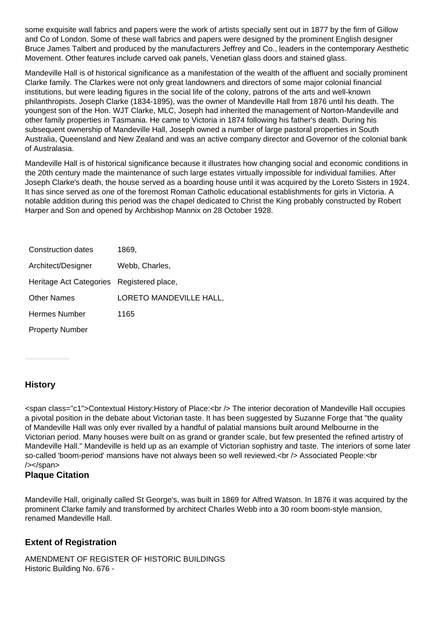some exquisite wall fabrics and papers were the work of artists specially sent out in 1877 by the firm of Gillow and Co of London. Some of these wall fabrics and papers were designed by the prominent English designer Bruce James Talbert and produced by the manufacturers Jeffrey and Co., leaders in the contemporary Aesthetic Movement. Other features include carved oak panels, Venetian glass doors and stained glass.

Mandeville Hall is of historical significance as a manifestation of the wealth of the affluent and socially prominent Clarke family. The Clarkes were not only great landowners and directors of some major colonial financial institutions, but were leading figures in the social life of the colony, patrons of the arts and well-known philanthropists. Joseph Clarke (1834-1895), was the owner of Mandeville Hall from 1876 until his death. The youngest son of the Hon. WJT Clarke, MLC, Joseph had inherited the management of Norton-Mandeville and other family properties in Tasmania. He came to Victoria in 1874 following his father's death. During his subsequent ownership of Mandeville Hall, Joseph owned a number of large pastoral properties in South Australia, Queensland and New Zealand and was an active company director and Governor of the colonial bank of Australasia.

Mandeville Hall is of historical significance because it illustrates how changing social and economic conditions in the 20th century made the maintenance of such large estates virtually impossible for individual families. After Joseph Clarke's death, the house served as a boarding house until it was acquired by the Loreto Sisters in 1924. It has since served as one of the foremost Roman Catholic educational establishments for girls in Victoria. A notable addition during this period was the chapel dedicated to Christ the King probably constructed by Robert Harper and Son and opened by Archbishop Mannix on 28 October 1928.

| Construction dates                        | 1869.                   |
|-------------------------------------------|-------------------------|
| Architect/Designer                        | Webb, Charles,          |
| Heritage Act Categories Registered place, |                         |
| <b>Other Names</b>                        | LORETO MANDEVILLE HALL, |
| <b>Hermes Number</b>                      | 1165                    |
| <b>Property Number</b>                    |                         |

# **History**

<span class="c1">Contextual History:History of Place:<br /> The interior decoration of Mandeville Hall occupies a pivotal position in the debate about Victorian taste. It has been suggested by Suzanne Forge that "the quality of Mandeville Hall was only ever rivalled by a handful of palatial mansions built around Melbourne in the Victorian period. Many houses were built on as grand or grander scale, but few presented the refined artistry of Mandeville Hall." Mandeville is held up as an example of Victorian sophistry and taste. The interiors of some later so-called 'boom-period' mansions have not always been so well reviewed.<br />
lextled People:<br />
lextled People:<<br />
lextled People:<<rr />
lextled boom-period' mansions have not always been so well reviewed.<br />
l /></span>

# **Plaque Citation**

Mandeville Hall, originally called St George's, was built in 1869 for Alfred Watson. In 1876 it was acquired by the prominent Clarke family and transformed by architect Charles Webb into a 30 room boom-style mansion, renamed Mandeville Hall.

# **Extent of Registration**

AMENDMENT OF REGISTER OF HISTORIC BUILDINGS Historic Building No. 676 -